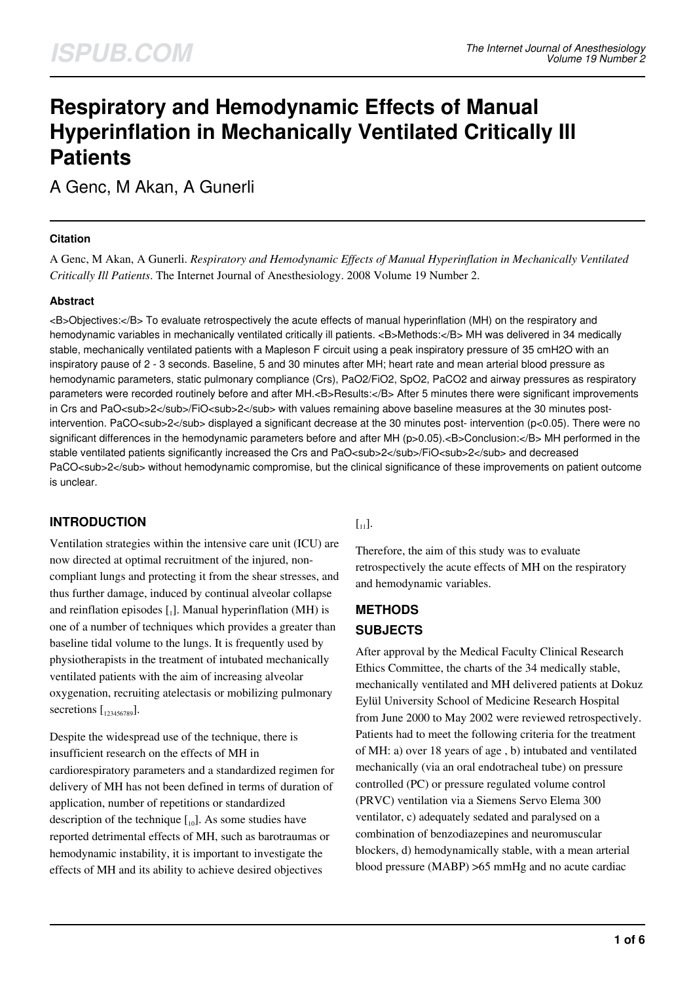# **Respiratory and Hemodynamic Effects of Manual Hyperinflation in Mechanically Ventilated Critically Ill Patients**

A Genc, M Akan, A Gunerli

#### **Citation**

A Genc, M Akan, A Gunerli. *Respiratory and Hemodynamic Effects of Manual Hyperinflation in Mechanically Ventilated Critically Ill Patients*. The Internet Journal of Anesthesiology. 2008 Volume 19 Number 2.

### **Abstract**

<B>Objectives:</B> To evaluate retrospectively the acute effects of manual hyperinflation (MH) on the respiratory and hemodynamic variables in mechanically ventilated critically ill patients. <B>Methods:</B> MH was delivered in 34 medically stable, mechanically ventilated patients with a Mapleson F circuit using a peak inspiratory pressure of 35 cmH2O with an inspiratory pause of 2 - 3 seconds. Baseline, 5 and 30 minutes after MH; heart rate and mean arterial blood pressure as hemodynamic parameters, static pulmonary compliance (Crs), PaO2/FiO2, SpO2, PaCO2 and airway pressures as respiratory parameters were recorded routinely before and after MH.<B>Results:</B> After 5 minutes there were significant improvements in Crs and PaO<sub>2</sub>/FiO<sub>2</sub> with values remaining above baseline measures at the 30 minutes postintervention. PaCO<sub>2</sub> displayed a significant decrease at the 30 minutes post- intervention (p<0.05). There were no significant differences in the hemodynamic parameters before and after MH (p>0.05).<B>Conclusion:</B>MH performed in the stable ventilated patients significantly increased the Crs and PaO<sub><</sub>sub>2</sub>/FiO<sub>2</sub>sub>2</sub> and decreased PaCO<sub>2</sub> without hemodynamic compromise, but the clinical significance of these improvements on patient outcome is unclear.

## **INTRODUCTION**

Ventilation strategies within the intensive care unit (ICU) are now directed at optimal recruitment of the injured, noncompliant lungs and protecting it from the shear stresses, and thus further damage, induced by continual alveolar collapse and reinflation episodes  $\left[ \begin{smallmatrix} .\end{smallmatrix} \right]$ . Manual hyperinflation (MH) is one of a number of techniques which provides a greater than baseline tidal volume to the lungs. It is frequently used by physiotherapists in the treatment of intubated mechanically ventilated patients with the aim of increasing alveolar oxygenation, recruiting atelectasis or mobilizing pulmonary secretions  $\left[ \begin{smallmatrix} 1 & 23456789 \end{smallmatrix} \right]$ .

Despite the widespread use of the technique, there is insufficient research on the effects of MH in cardiorespiratory parameters and a standardized regimen for delivery of MH has not been defined in terms of duration of application, number of repetitions or standardized description of the technique  $\begin{bmatrix} 1 & 0 \end{bmatrix}$ . As some studies have reported detrimental effects of MH, such as barotraumas or hemodynamic instability, it is important to investigate the effects of MH and its ability to achieve desired objectives

## $\lceil_{11}\rceil$ .

Therefore, the aim of this study was to evaluate retrospectively the acute effects of MH on the respiratory and hemodynamic variables.

## **METHODS SUBJECTS**

After approval by the Medical Faculty Clinical Research Ethics Committee, the charts of the 34 medically stable, mechanically ventilated and MH delivered patients at Dokuz Eylül University School of Medicine Research Hospital from June 2000 to May 2002 were reviewed retrospectively. Patients had to meet the following criteria for the treatment of MH: a) over 18 years of age , b) intubated and ventilated mechanically (via an oral endotracheal tube) on pressure controlled (PC) or pressure regulated volume control (PRVC) ventilation via a Siemens Servo Elema 300 ventilator, c) adequately sedated and paralysed on a combination of benzodiazepines and neuromuscular blockers, d) hemodynamically stable, with a mean arterial blood pressure (MABP) >65 mmHg and no acute cardiac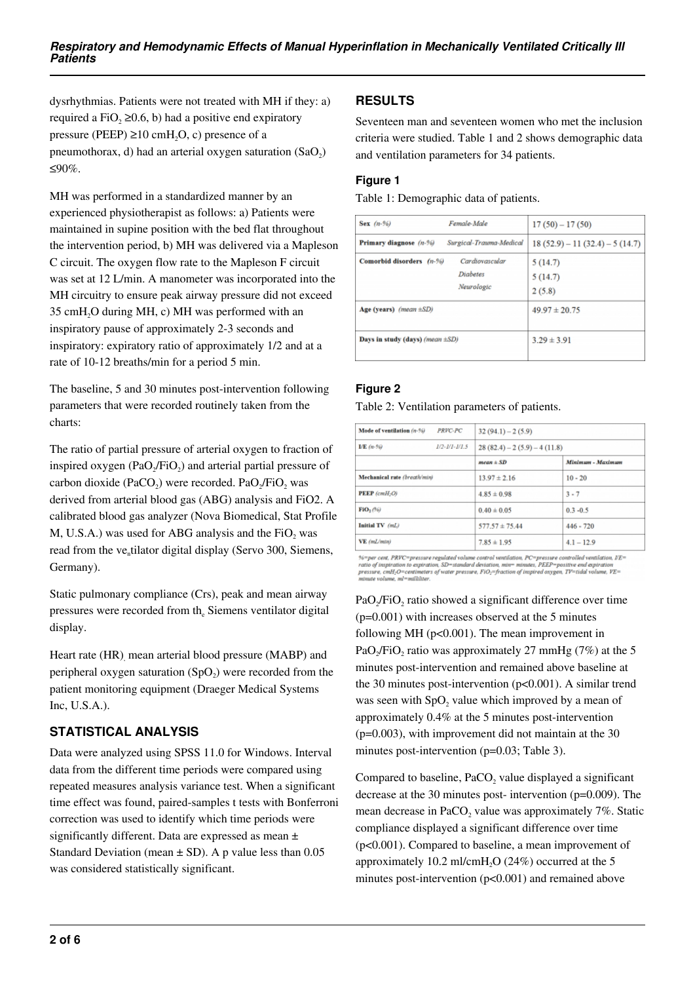dysrhythmias. Patients were not treated with MH if they: a) required a FiO<sub>2</sub>  $\geq$ 0.6, b) had a positive end expiratory pressure (PEEP)  $\geq 10$  cmH<sub>2</sub>O, c) presence of a pneumothorax, d) had an arterial oxygen saturation  $(SaO<sub>2</sub>)$ ≤90%.

MH was performed in a standardized manner by an experienced physiotherapist as follows: a) Patients were maintained in supine position with the bed flat throughout the intervention period, b) MH was delivered via a Mapleson C circuit. The oxygen flow rate to the Mapleson F circuit was set at 12 L/min. A manometer was incorporated into the MH circuitry to ensure peak airway pressure did not exceed 35 cmH2O during MH, c) MH was performed with an inspiratory pause of approximately 2-3 seconds and inspiratory: expiratory ratio of approximately 1/2 and at a rate of 10-12 breaths/min for a period 5 min.

The baseline, 5 and 30 minutes post-intervention following parameters that were recorded routinely taken from the charts:

The ratio of partial pressure of arterial oxygen to fraction of inspired oxygen  $(PaO<sub>2</sub>/FiO<sub>2</sub>)$  and arterial partial pressure of carbon dioxide (PaCO<sub>2</sub>) were recorded. PaO<sub>2</sub>/FiO<sub>2</sub> was derived from arterial blood gas (ABG) analysis and FiO2. A calibrated blood gas analyzer (Nova Biomedical, Stat Profile M, U.S.A.) was used for ABG analysis and the  $FiO<sub>2</sub>$  was read from the ve<sub>n</sub>tilator digital display (Servo 300, Siemens, Germany).

Static pulmonary compliance (Crs), peak and mean airway pressures were recorded from th<sub>e</sub> Siemens ventilator digital display.

Heart rate (HR), mean arterial blood pressure (MABP) and peripheral oxygen saturation  $(SpO<sub>2</sub>)$  were recorded from the patient monitoring equipment (Draeger Medical Systems Inc, U.S.A.).

## **STATISTICAL ANALYSIS**

Data were analyzed using SPSS 11.0 for Windows. Interval data from the different time periods were compared using repeated measures analysis variance test. When a significant time effect was found, paired-samples t tests with Bonferroni correction was used to identify which time periods were significantly different. Data are expressed as mean ± Standard Deviation (mean  $\pm$  SD). A p value less than 0.05 was considered statistically significant.

# **RESULTS**

Seventeen man and seventeen women who met the inclusion criteria were studied. Table 1 and 2 shows demographic data and ventilation parameters for 34 patients.

## **Figure 1**

Table 1: Demographic data of patients.

| Sex $(n-96)$                          | Female-Male                              | $17(50) - 17(50)$               |  |
|---------------------------------------|------------------------------------------|---------------------------------|--|
| Primary diagnose (n-%)                | Surgical-Trauma-Medical                  | $18(52.9) - 11(32.4) - 5(14.7)$ |  |
| Comorbid disorders (n-%)              | Cardiovascular<br>Diabetes<br>Neurologic | 5(14.7)<br>5(14.7)<br>2(5.8)    |  |
| $Age$ (years) (mean $\pm SD$ )        |                                          | $49.97 \pm 20.75$               |  |
| Days in study (days) (mean $\pm SD$ ) |                                          | $3.29 \pm 3.91$                 |  |

## **Figure 2**

#### Table 2: Ventilation parameters of patients.

| PRVC-PC<br>Mode of ventilation (n-%) | $32(94.1) - 2(5.9)$           |                   |  |
|--------------------------------------|-------------------------------|-------------------|--|
| $1/2 - 1/1 - 1/1.5$<br>L/E (n-90     | $28(82.4) - 2(5.9) - 4(11.8)$ |                   |  |
|                                      | $mean \pm SD$                 | Minimum - Maximum |  |
| Mechanical rate (breath/min)         | $13.97 \pm 2.16$              | $10 - 20$         |  |
| $PEEP$ (cmH <sub>2</sub> O)          | $4.85 \pm 0.98$               | $3 - 7$           |  |
| $\textbf{FiO}_2$ (%)                 | $0.40 \pm 0.05$               | $0.3 - 0.5$       |  |
| Initial TV (mL)                      | $577.57 \pm 75.44$            | $446 - 720$       |  |
| VE (mL/min)                          | $7.85 \pm 1.95$               | $4.1 - 12.9$      |  |

%=per cent, PRVC=pressure regulated volume control ventilation, PC=pressure controlled ventilation, VE=<br>ratio of inspiration to expiration, SD=standard deviation, min= minutes, PEEP=positive end expiration<br>pressure, cmft-

PaO<sub>2</sub>/FiO<sub>2</sub> ratio showed a significant difference over time (p=0.001) with increases observed at the 5 minutes following MH (p<0.001). The mean improvement in PaO<sub>2</sub>/FiO<sub>2</sub> ratio was approximately 27 mmHg (7%) at the 5 minutes post-intervention and remained above baseline at the 30 minutes post-intervention (p<0.001). A similar trend was seen with  $SpO<sub>2</sub>$  value which improved by a mean of approximately 0.4% at the 5 minutes post-intervention  $(p=0.003)$ , with improvement did not maintain at the 30 minutes post-intervention (p=0.03; Table 3).

Compared to baseline,  $PaCO<sub>2</sub>$  value displayed a significant decrease at the 30 minutes post- intervention (p=0.009). The mean decrease in PaCO<sub>2</sub> value was approximately  $7\%$ . Static compliance displayed a significant difference over time (p<0.001). Compared to baseline, a mean improvement of approximately 10.2 ml/cmH<sub>2</sub>O (24%) occurred at the 5 minutes post-intervention (p<0.001) and remained above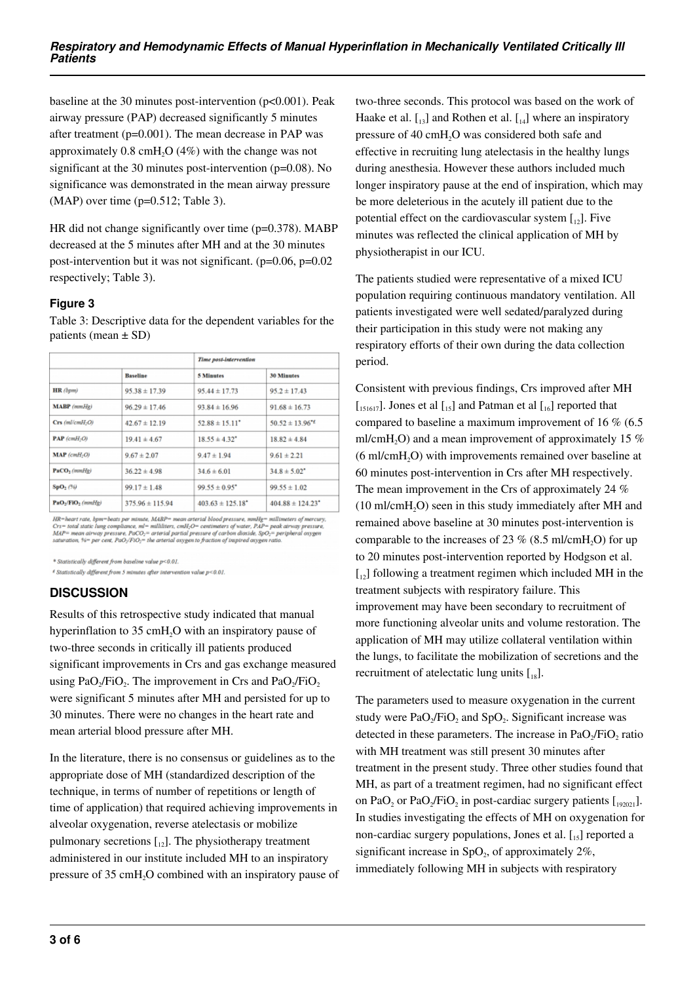baseline at the 30 minutes post-intervention (p<0.001). Peak airway pressure (PAP) decreased significantly 5 minutes after treatment (p=0.001). The mean decrease in PAP was approximately  $0.8 \text{ cm}$ H<sub>2</sub>O (4%) with the change was not significant at the 30 minutes post-intervention (p=0.08). No significance was demonstrated in the mean airway pressure  $(MAP)$  over time  $(p=0.512;$  Table 3).

HR did not change significantly over time (p=0.378). MABP decreased at the 5 minutes after MH and at the 30 minutes post-intervention but it was not significant. (p=0.06, p=0.02 respectively; Table 3).

#### **Figure 3**

Table 3: Descriptive data for the dependent variables for the patients (mean  $\pm$  SD)

|                               |                     | Time post-intervention           |                                  |  |
|-------------------------------|---------------------|----------------------------------|----------------------------------|--|
|                               | <b>Baseline</b>     | <b>5 Minutes</b>                 | <b>30 Minutes</b>                |  |
| HR (bpm)                      | $95.38 \pm 17.39$   | $95.44 \pm 17.73$                | $95.2 \pm 17.43$                 |  |
| MABP (mmHg)                   | $96.29 \pm 17.46$   | $93.84 \pm 16.96$                | $91.68 \pm 16.73$                |  |
| $Crs$ (ml/cmH <sub>2</sub> O) | $42.67 \pm 12.19$   | $52.88 \pm 15.11$ <sup>*</sup>   | $50.52 \pm 13.96$ <sup>*</sup>   |  |
| $PAP$ (cmH <sub>2</sub> O)    | $19.41 \pm 4.67$    | $18.55 \pm 4.32$ <sup>*</sup>    | $18.82 \pm 4.84$                 |  |
| $MAP$ (cmH <sub>2</sub> O)    | $9.67 \pm 2.07$     | $9.47 \pm 1.94$                  | $9.61 \pm 2.21$                  |  |
| $PACO2$ (mmHg)                | $36.22 \pm 4.98$    | $34.6 \pm 6.01$                  | $34.8 \pm 5.02$ <sup>*</sup>     |  |
| SpO <sub>2</sub> (36)         | $99.17 \pm 1.48$    | $99.55 \pm 0.95$ <sup>*</sup>    | $99.55 \pm 1.02$                 |  |
| $PaO2/FiO2$ (mmHg)            | $375.96 \pm 115.94$ | $403.63 \pm 125.18$ <sup>*</sup> | $404.88 \pm 124.23$ <sup>*</sup> |  |

 $HR = heart\ rate,\ bpm = beats\ per\ minute,\ MABP = mean\ area\ blood\ preessure,\ mmHg = millimeters\ of\ mercury,\ Crs = total\ static\ lung\ computing,\ cmF_1 = milliheters,\ cmH_2O = centimeters\ of\ water,\ PAP = peak\ airway\ pressure,\ MAP = mean\ airway\ pressure,\ PaCO_2 = \ arterial\ partial\ pressure\ of\ carbon\ dioxide,\ SpO_2 = peripheral\ oxygen\ saturation,\ %s = per\ cer, PaO_2/F1O_2 = the\ arterial\ oxygen\ to\ fraction\ of\ inspired\ oxygen\ ratio.$ 

\* Statistically different from baseline value p<0.01.

 $\ell$  Statistically different from 5 minutes after intervention value  $p<0.01$ .

## **DISCUSSION**

Results of this retrospective study indicated that manual hyperinflation to 35 cmH<sub>2</sub>O with an inspiratory pause of two-three seconds in critically ill patients produced significant improvements in Crs and gas exchange measured using  $PaO_2/FiO_2$ . The improvement in Crs and  $PaO_2/FiO_2$ were significant 5 minutes after MH and persisted for up to 30 minutes. There were no changes in the heart rate and mean arterial blood pressure after MH.

In the literature, there is no consensus or guidelines as to the appropriate dose of MH (standardized description of the technique, in terms of number of repetitions or length of time of application) that required achieving improvements in alveolar oxygenation, reverse atelectasis or mobilize pulmonary secretions  $\begin{bmatrix} 1 \\ 2 \end{bmatrix}$ . The physiotherapy treatment administered in our institute included MH to an inspiratory pressure of 35 cmH<sub>2</sub>O combined with an inspiratory pause of

two-three seconds. This protocol was based on the work of Haake et al.  $\left[ \begin{smallmatrix} 1 & 3 \end{smallmatrix} \right]$  and Rothen et al.  $\left[ \begin{smallmatrix} 1 & 4 \end{smallmatrix} \right]$  where an inspiratory pressure of 40 cmH<sub>2</sub>O was considered both safe and effective in recruiting lung atelectasis in the healthy lungs during anesthesia. However these authors included much longer inspiratory pause at the end of inspiration, which may be more deleterious in the acutely ill patient due to the potential effect on the cardiovascular system  $\begin{bmatrix} 1 \\ 2 \end{bmatrix}$ . Five minutes was reflected the clinical application of MH by physiotherapist in our ICU.

The patients studied were representative of a mixed ICU population requiring continuous mandatory ventilation. All patients investigated were well sedated/paralyzed during their participation in this study were not making any respiratory efforts of their own during the data collection period.

Consistent with previous findings, Crs improved after MH  $\begin{bmatrix} 151617 \end{bmatrix}$ . Jones et al  $\begin{bmatrix} 15 \end{bmatrix}$  and Patman et al  $\begin{bmatrix} 16 \end{bmatrix}$  reported that compared to baseline a maximum improvement of 16 % (6.5 ml/cmH<sub>2</sub>O) and a mean improvement of approximately 15  $%$ (6 ml/cmH2O) with improvements remained over baseline at 60 minutes post-intervention in Crs after MH respectively. The mean improvement in the Crs of approximately 24 %  $(10 \text{ ml/cmH}, O)$  seen in this study immediately after MH and remained above baseline at 30 minutes post-intervention is comparable to the increases of 23  $\%$  (8.5 ml/cmH<sub>2</sub>O) for up to 20 minutes post-intervention reported by Hodgson et al.  $\begin{bmatrix} 1_{2} \end{bmatrix}$  following a treatment regimen which included MH in the treatment subjects with respiratory failure. This improvement may have been secondary to recruitment of more functioning alveolar units and volume restoration. The application of MH may utilize collateral ventilation within the lungs, to facilitate the mobilization of secretions and the recruitment of atelectatic lung units  $\left[\begin{smallmatrix}18\end{smallmatrix}\right]$ .

The parameters used to measure oxygenation in the current study were  $PaO<sub>2</sub>/FiO<sub>2</sub>$  and  $SpO<sub>2</sub>$ . Significant increase was detected in these parameters. The increase in  $PaO<sub>2</sub>/FiO<sub>2</sub>$  ratio with MH treatment was still present 30 minutes after treatment in the present study. Three other studies found that MH, as part of a treatment regimen, had no significant effect on PaO<sub>2</sub> or PaO<sub>2</sub>/FiO<sub>2</sub> in post-cardiac surgery patients  $\left[1_{192021}\right]$ . In studies investigating the effects of MH on oxygenation for non-cardiac surgery populations, Jones et al.  $\left[ \begin{smallmatrix} 1 & 0 \\ 1 & 5 \end{smallmatrix} \right]$  reported a significant increase in SpO<sub>2</sub>, of approximately  $2\%$ , immediately following MH in subjects with respiratory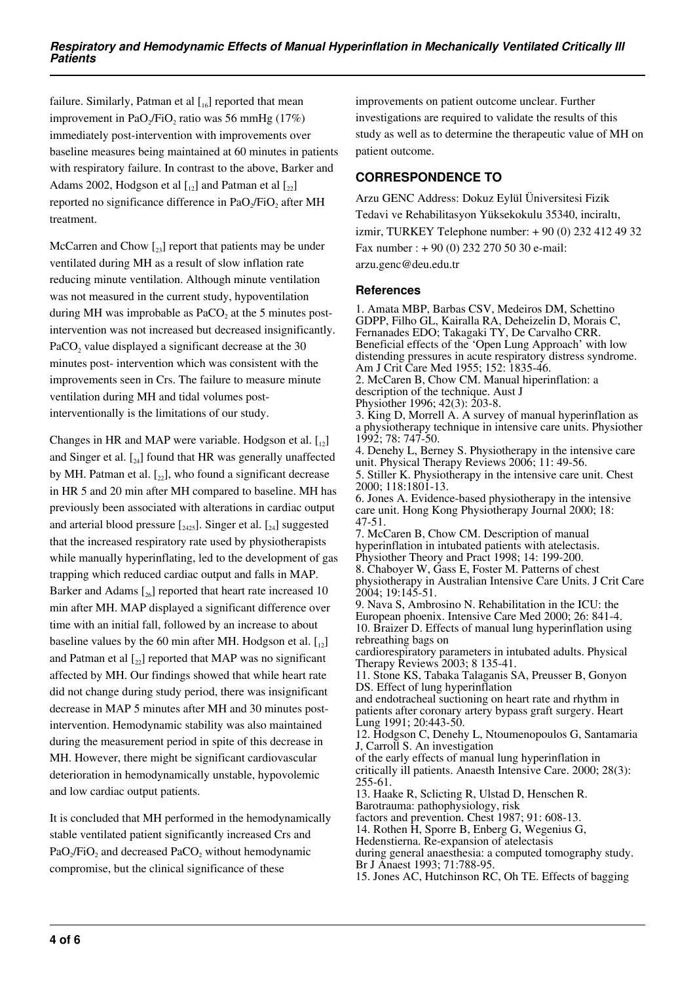failure. Similarly, Patman et al  $\left[\begin{smallmatrix}1 & 0 \\ 0 & 0\end{smallmatrix}\right]$  reported that mean improvement in PaO<sub>2</sub>/FiO<sub>2</sub> ratio was 56 mmHg (17%) immediately post-intervention with improvements over baseline measures being maintained at 60 minutes in patients with respiratory failure. In contrast to the above, Barker and Adams 2002, Hodgson et al  $\begin{bmatrix} 1 \\ 2 \end{bmatrix}$  and Patman et al  $\begin{bmatrix} 2 \\ 2 \end{bmatrix}$ reported no significance difference in Pa $O_2$ /Fi $O_2$  after MH treatment.

McCarren and Chow  $\left[\begin{smallmatrix}2\\2\end{smallmatrix}\right]$  report that patients may be under ventilated during MH as a result of slow inflation rate reducing minute ventilation. Although minute ventilation was not measured in the current study, hypoventilation during MH was improbable as  $PaCO<sub>2</sub>$  at the 5 minutes postintervention was not increased but decreased insignificantly. PaCO<sub>2</sub> value displayed a significant decrease at the 30 minutes post- intervention which was consistent with the improvements seen in Crs. The failure to measure minute ventilation during MH and tidal volumes postinterventionally is the limitations of our study.

Changes in HR and MAP were variable. Hodgson et al.  $\begin{bmatrix} 1 \\ 2 \end{bmatrix}$ and Singer et al.  $\lceil a_4 \rceil$  found that HR was generally unaffected by MH. Patman et al.  $\lceil z_2 \rceil$ , who found a significant decrease in HR 5 and 20 min after MH compared to baseline. MH has previously been associated with alterations in cardiac output and arterial blood pressure  $\left[\frac{1}{2425}\right]$ . Singer et al.  $\left[\frac{1}{24}\right]$  suggested that the increased respiratory rate used by physiotherapists while manually hyperinflating, led to the development of gas trapping which reduced cardiac output and falls in MAP. Barker and Adams  $\left[26\right]$  reported that heart rate increased 10 min after MH. MAP displayed a significant difference over time with an initial fall, followed by an increase to about baseline values by the 60 min after MH. Hodgson et al.  $\begin{bmatrix} 1 \\ 2 \end{bmatrix}$ and Patman et al  $\lceil z_2 \rceil$  reported that MAP was no significant affected by MH. Our findings showed that while heart rate did not change during study period, there was insignificant decrease in MAP 5 minutes after MH and 30 minutes postintervention. Hemodynamic stability was also maintained during the measurement period in spite of this decrease in MH. However, there might be significant cardiovascular deterioration in hemodynamically unstable, hypovolemic and low cardiac output patients.

It is concluded that MH performed in the hemodynamically stable ventilated patient significantly increased Crs and  $PaO<sub>2</sub>/FiO<sub>2</sub>$  and decreased PaCO<sub>2</sub> without hemodynamic compromise, but the clinical significance of these

improvements on patient outcome unclear. Further investigations are required to validate the results of this study as well as to determine the therapeutic value of MH on patient outcome.

# **CORRESPONDENCE TO**

Arzu GENC Address: Dokuz Eylül Üniversitesi Fizik Tedavi ve Rehabilitasyon Yüksekokulu 35340, inciraltı, izmir, TURKEY Telephone number: + 90 (0) 232 412 49 32 Fax number : + 90 (0) 232 270 50 30 e-mail: arzu.genc@deu.edu.tr

#### **References**

1. Amata MBP, Barbas CSV, Medeiros DM, Schettino GDPP, Filho GL, Kairalla RA, Deheizelin D, Morais C, Fernanades EDO; Takagaki TY, De Carvalho CRR. Beneficial effects of the 'Open Lung Approach' with low distending pressures in acute respiratory distress syndrome. Am J Crit Care Med 1955; 152: 1835-46. 2. McCaren B, Chow CM. Manual hiperinflation: a description of the technique. Aust J Physiother 1996; 42(3): 203-8. 3. King D, Morrell A. A survey of manual hyperinflation as a physiotherapy technique in intensive care units. Physiother 1992; 78: 747-50. 4. Denehy L, Berney S. Physiotherapy in the intensive care unit. Physical Therapy Reviews 2006; 11: 49-56. 5. Stiller K. Physiotherapy in the intensive care unit. Chest 2000; 118:1801-13. 6. Jones A. Evidence-based physiotherapy in the intensive care unit. Hong Kong Physiotherapy Journal 2000; 18: 47-51. 7. McCaren B, Chow CM. Description of manual hyperinflation in intubated patients with atelectasis. Physiother Theory and Pract 1998; 14: 199-200. 8. Chaboyer W, Gass E, Foster M. Patterns of chest physiotherapy in Australian Intensive Care Units. J Crit Care 2004; 19:145-51. 9. Nava S, Ambrosino N. Rehabilitation in the ICU: the European phoenix. Intensive Care Med 2000; 26: 841-4. 10. Braizer D. Effects of manual lung hyperinflation using rebreathing bags on cardiorespiratory parameters in intubated adults. Physical Therapy Reviews 2003; 8 135-41. 11. Stone KS, Tabaka Talaganis SA, Preusser B, Gonyon DS. Effect of lung hyperinflation and endotracheal suctioning on heart rate and rhythm in patients after coronary artery bypass graft surgery. Heart Lung 1991; 20:443-50. 12. Hodgson C, Denehy L, Ntoumenopoulos G, Santamaria J, Carroll S. An investigation of the early effects of manual lung hyperinflation in critically ill patients. Anaesth Intensive Care. 2000; 28(3): 255-61. 13. Haake R, Sclicting R, Ulstad D, Henschen R. Barotrauma: pathophysiology, risk factors and prevention. Chest 1987; 91: 608-13. 14. Rothen H, Sporre B, Enberg G, Wegenius G, Hedenstierna. Re-expansion of atelectasis during general anaesthesia: a computed tomography study. Br J Anaest 1993; 71:788-95.

15. Jones AC, Hutchinson RC, Oh TE. Effects of bagging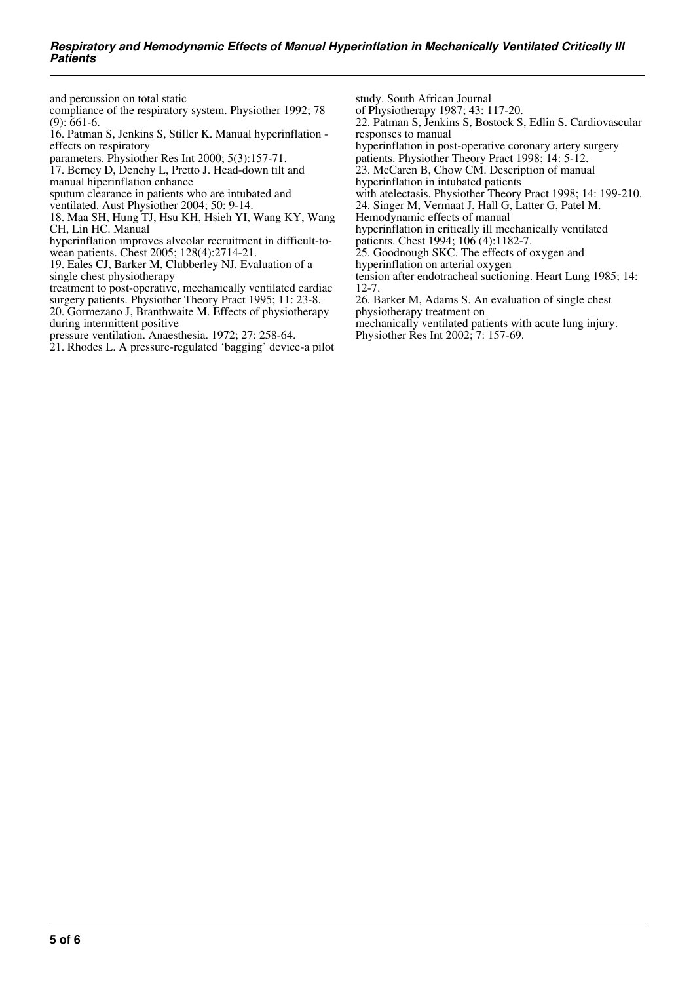and percussion on total static

compliance of the respiratory system. Physiother 1992; 78 (9): 661-6.

16. Patman S, Jenkins S, Stiller K. Manual hyperinflation effects on respiratory

parameters. Physiother Res Int 2000; 5(3):157-71.

17. Berney D, Denehy L, Pretto J. Head-down tilt and manual hiperinflation enhance

sputum clearance in patients who are intubated and

ventilated. Aust Physiother 2004; 50: 9-14.

18. Maa SH, Hung TJ, Hsu KH, Hsieh YI, Wang KY, Wang CH, Lin HC. Manual

hyperinflation improves alveolar recruitment in difficult-to-

wean patients. Chest 2005; 128(4):2714-21.

19. Eales CJ, Barker M, Clubberley NJ. Evaluation of a single chest physiotherapy

treatment to post-operative, mechanically ventilated cardiac surgery patients. Physiother Theory Pract 1995; 11: 23-8.

20. Gormezano J, Branthwaite M. Effects of physiotherapy during intermittent positive

pressure ventilation. Anaesthesia. 1972; 27: 258-64.

21. Rhodes L. A pressure-regulated 'bagging' device-a pilot

study. South African Journal

of Physiotherapy 1987; 43: 117-20.

22. Patman S, Jenkins S, Bostock S, Edlin S. Cardiovascular responses to manual

hyperinflation in post-operative coronary artery surgery

patients. Physiother Theory Pract 1998; 14: 5-12. 23. McCaren B, Chow CM. Description of manual

hyperinflation in intubated patients

with atelectasis. Physiother Theory Pract 1998; 14: 199-210.

24. Singer M, Vermaat J, Hall G, Latter G, Patel M.

Hemodynamic effects of manual

hyperinflation in critically ill mechanically ventilated

patients. Chest 1994; 106 (4):1182-7. 25. Goodnough SKC. The effects of oxygen and

hyperinflation on arterial oxygen

tension after endotracheal suctioning. Heart Lung 1985; 14: 12-7.

26. Barker M, Adams S. An evaluation of single chest physiotherapy treatment on

mechanically ventilated patients with acute lung injury.

Physiother Res Int 2002; 7: 157-69.